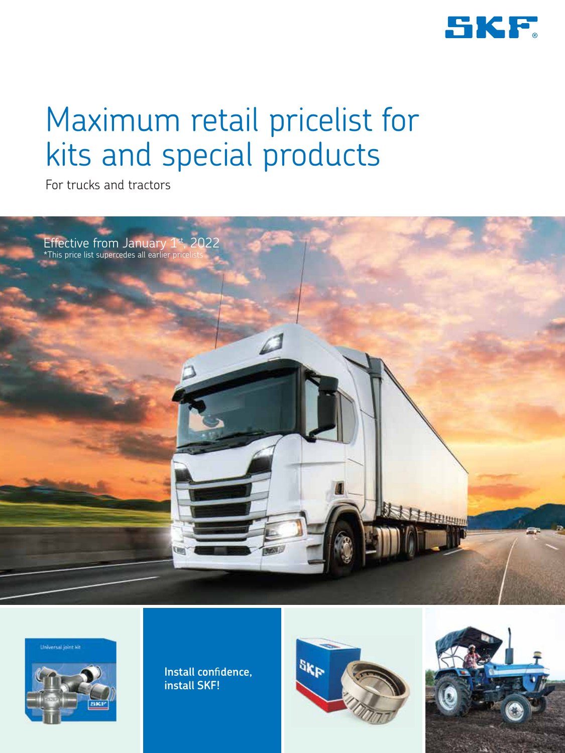

# Maximum retail pricelist for kits and special products

For trucks and tractors



**Universal joint kit** 



**Install confidence, install SKF!**



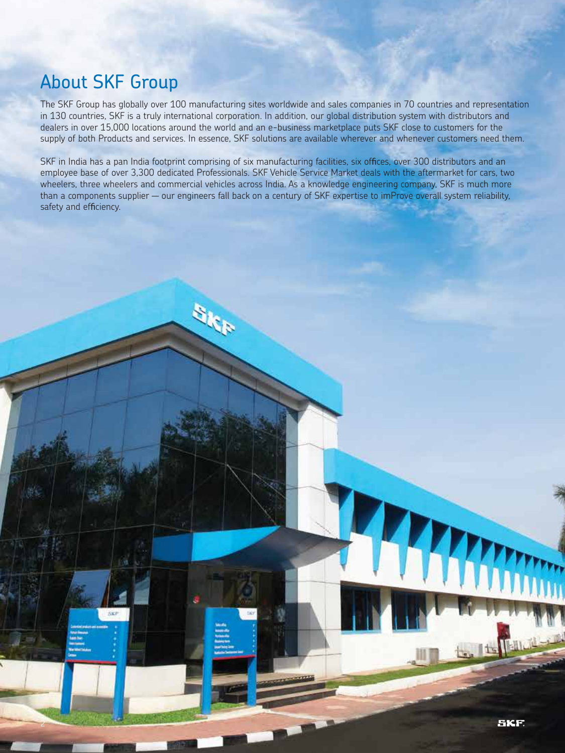### About SKF Group

2

The SKF Group has globally over 100 manufacturing sites worldwide and sales companies in 70 countries and representation in 130 countries, SKF is a truly international corporation. In addition, our global distribution system with distributors and dealers in over 15,000 locations around the world and an e-business marketplace puts SKF close to customers for the supply of both Products and services. In essence, SKF solutions are available wherever and whenever customers need them.

SKF in India has a pan India footprint comprising of six manufacturing facilities, six offices, over 300 distributors and an employee base of over 3,300 dedicated Professionals. SKF Vehicle Service Market deals with the aftermarket for cars, two wheelers, three wheelers and commercial vehicles across India. As a knowledge engineering company, SKF is much more than a components supplier — our engineers fall back on a century of SKF expertise to imProve overall system reliability, safety and efficiency.

**The Time** 

**SKF** 

**BKF**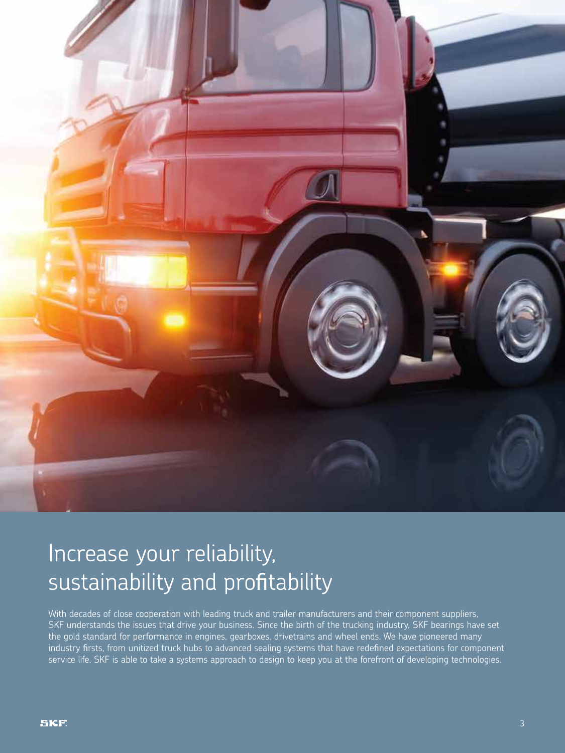

## Increase your reliability, sustainability and profitability

With decades of close cooperation with leading truck and trailer manufacturers and their component suppliers, SKF understands the issues that drive your business. Since the birth of the trucking industry, SKF bearings have set the gold standard for performance in engines, gearboxes, drivetrains and wheel ends. We have pioneered many industry firsts, from unitized truck hubs to advanced sealing systems that have redefined expectations for component service life. SKF is able to take a systems approach to design to keep you at the forefront of developing technologies.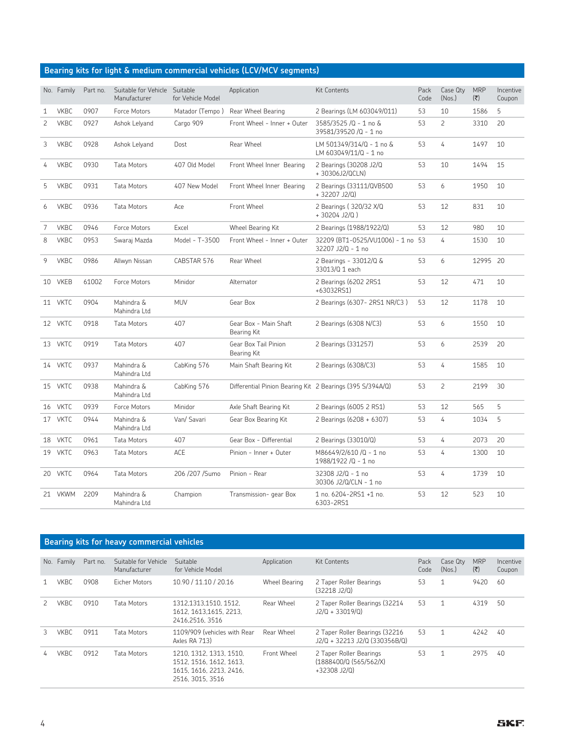#### **Bearing kits for light & medium commercial vehicles (LCV/MCV segments)**

|                | No. Family  | Part no. | Suitable for Vehicle<br>Manufacturer | Suitable<br>for Vehicle Model | Application                                               | <b>Kit Contents</b>                                    | Pack<br>Code | Case Qty<br>(Nos.) | <b>MRP</b><br>(₹) | Incentive<br>Coupon |
|----------------|-------------|----------|--------------------------------------|-------------------------------|-----------------------------------------------------------|--------------------------------------------------------|--------------|--------------------|-------------------|---------------------|
| 1              | <b>VKBC</b> | 0907     | Force Motors                         | Matador (Tempo)               | Rear Wheel Bearing                                        | 2 Bearings (LM 603049/011)                             | 53           | 10                 | 1586              | 5                   |
| $\overline{c}$ | <b>VKBC</b> | 0927     | Ashok Lelyand                        | Cargo 909                     | Front Wheel - Inner + Outer                               | 3585/3525 /Q - 1 no &<br>39581/39520 /Q - 1 no         | 53           | $\overline{c}$     | 3310              | 20                  |
| 3              | <b>VKBC</b> | 0928     | Ashok Lelyand                        | Dost                          | Rear Wheel                                                | LM 501349/314/Q - 1 no &<br>LM 603049/11/Q - 1 no      | 53           | 4                  | 1497              | 10                  |
| 4              | <b>VKBC</b> | 0930     | <b>Tata Motors</b>                   | 407 Old Model                 | Front Wheel Inner Bearing                                 | 2 Bearings (30208 J2/Q<br>+30306J2/QCLN)               | 53           | 10                 | 1494              | 15                  |
| 5              | <b>VKBC</b> | 0931     | Tata Motors                          | 407 New Model                 | Front Wheel Inner Bearing                                 | 2 Bearings (33111/QVB500<br>+32207 J2/Q)               | 53           | 6                  | 1950              | 10                  |
| 6              | <b>VKBC</b> | 0936     | Tata Motors                          | Ace                           | Front Wheel                                               | 2 Bearings (320/32 X/Q<br>$+30204$ J2/Q)               | 53           | 12                 | 831               | 10                  |
| 7              | <b>VKBC</b> | 0946     | Force Motors                         | Excel                         | Wheel Bearing Kit                                         | 2 Bearings (1988/1922/Q)                               | 53           | 12                 | 980               | 10                  |
| 8              | <b>VKBC</b> | 0953     | Swaraj Mazda                         | Model - T-3500                | Front Wheel - Inner + Outer                               | 32209 (BT1-0525/VU1006) - 1 no 53<br>32207 J2/Q - 1 no |              | 4                  | 1530              | 10                  |
| 9              | <b>VKBC</b> | 0986     | Allwyn Nissan                        | CABSTAR 576                   | Rear Wheel                                                | 2 Bearings - 33012/Q &<br>33013/Q 1 each               | 53           | 6                  | 12995 20          |                     |
|                | 10 VKEB     | 61002    | Force Motors                         | Minidor                       | Alternator                                                | 2 Bearings (6202 2RS1<br>+63032RS1)                    | 53           | 12                 | 471               | 10                  |
|                | 11 VKTC     | 0904     | Mahindra &<br>Mahindra Ltd           | <b>MUV</b>                    | Gear Box                                                  | 2 Bearings (6307-2RS1 NR/C3)                           | 53           | 12                 | 1178              | 10                  |
|                | 12 VKTC     | 0918     | Tata Motors                          | 407                           | Gear Box - Main Shaft<br>Bearing Kit                      | 2 Bearings (6308 N/C3)                                 | 53           | 6                  | 1550              | 10                  |
|                | 13 VKTC     | 0919     | Tata Motors                          | 407                           | Gear Box Tail Pinion<br>Bearing Kit                       | 2 Bearings (331257)                                    | 53           | 6                  | 2539              | 20                  |
|                | 14 VKTC     | 0937     | Mahindra &<br>Mahindra Ltd           | CabKing 576                   | Main Shaft Bearing Kit                                    | 2 Bearings (6308/C3)                                   | 53           | 4                  | 1585              | 10                  |
|                | 15 VKTC     | 0938     | Mahindra &<br>Mahindra Ltd           | CabKing 576                   | Differential Pinion Bearing Kit 2 Bearings (395 S/394A/Q) |                                                        | 53           | $\overline{c}$     | 2199              | 30                  |
|                | 16 VKTC     | 0939     | Force Motors                         | Minidor                       | Axle Shaft Bearing Kit                                    | 2 Bearings (6005 2 RS1)                                | 53           | 12                 | 565               | 5                   |
|                | 17 VKTC     | 0944     | Mahindra &<br>Mahindra Ltd           | Van/ Savari                   | Gear Box Bearing Kit                                      | 2 Bearings (6208 + 6307)                               | 53           | 4                  | 1034              | 5                   |
|                | 18 VKTC     | 0961     | <b>Tata Motors</b>                   | 407                           | Gear Box - Differential                                   | 2 Bearings (33010/Q)                                   | 53           | 4                  | 2073              | 20                  |
|                | 19 VKTC     | 0963     | <b>Tata Motors</b>                   | ACE                           | Pinion - Inner + Outer                                    | M86649/2/610 /Q - 1 no<br>1988/1922 /Q - 1 no          | 53           | 4                  | 1300              | 10                  |
|                | 20 VKTC     | 0964     | Tata Motors                          | 206 /207 /Sumo                | Pinion - Rear                                             | 32308 J2/Q - 1 no<br>30306 J2/Q/CLN - 1 no             | 53           | 4                  | 1739              | 10                  |
|                | 21 VKWM     | 2209     | Mahindra &<br>Mahindra Ltd           | Champion                      | Transmission- gear Box                                    | 1 no. 6204-2RS1 +1 no.<br>6303-2RS1                    | 53           | 12                 | 523               | 10                  |

#### **Bearing kits for heavy commercial vehicles**

| No. | Family      | Part no. | Suitable for Vehicle<br>Manufacturer | Suitable<br>for Vehicle Model                                                                     | Application   | Kit Contents                                                        | Pack<br>Code | Case Qtv<br>(Nos.) | <b>MRP</b><br>$(\overline{\mathbf{x}})$ | Incentive<br>Coupon |
|-----|-------------|----------|--------------------------------------|---------------------------------------------------------------------------------------------------|---------------|---------------------------------------------------------------------|--------------|--------------------|-----------------------------------------|---------------------|
|     | VKBC        | 0908     | Eicher Motors                        | 10.90 / 11.10 / 20.16                                                                             | Wheel Bearing | 2 Taper Roller Bearings<br>(32218 J2/Q)                             | 53           | 1                  | 9420                                    | -60                 |
|     | <b>VKBC</b> | 0910     | Tata Motors                          | 1312.1313.1510. 1512.<br>1612. 1613.1615. 2213.<br>2416.2516.3516                                 | Rear Wheel    | 2 Taper Roller Bearings (32214<br>$J2/Q + 33019/Q$                  | 53           | 1                  | 4319                                    | 50                  |
|     | <b>VKBC</b> | 0911     | Tata Motors                          | 1109/909 (vehicles with Rear<br>Axles RA 713)                                                     | Rear Wheel    | 2 Taper Roller Bearings (32216)<br>J2/Q + 32213 J2/Q (330356B/Q)    | 53           | 1                  | 4242                                    | 40                  |
|     | VKBC.       | 0912     | Tata Motors                          | 1210, 1312, 1313, 1510,<br>1512. 1516. 1612. 1613.<br>1615, 1616, 2213, 2416.<br>2516. 3015. 3516 | Front Wheel   | 2 Taper Roller Bearings<br>(1888400/Q (565/562/X)<br>$+32308$ J2/Q) | 53           | 1                  | 2975                                    | 40                  |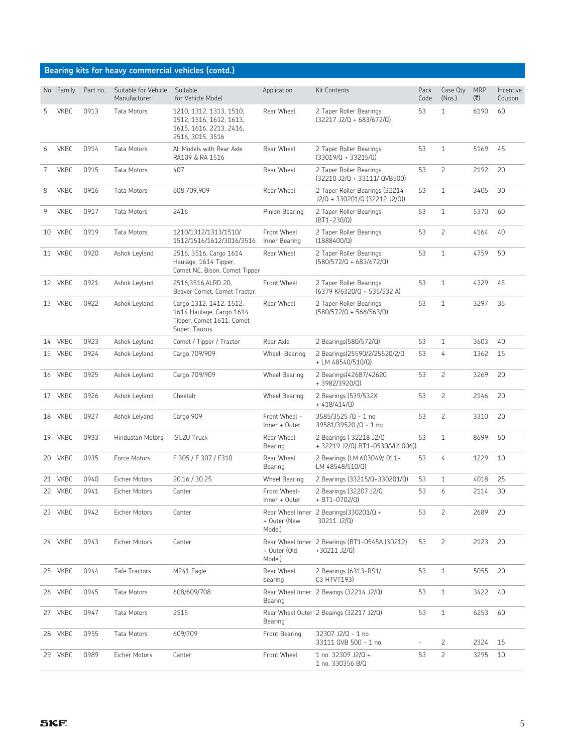|   |             |          |                                      | Bearing kits for heavy commercial vehicles (contd.)                                               |                                |                                                                 |              |                    |                   |                     |
|---|-------------|----------|--------------------------------------|---------------------------------------------------------------------------------------------------|--------------------------------|-----------------------------------------------------------------|--------------|--------------------|-------------------|---------------------|
|   | No. Family  | Part no. | Suitable for Vehicle<br>Manufacturer | Suitable<br>for Vehicle Model                                                                     | Application                    | <b>Kit Contents</b>                                             | Pack<br>Code | Case Qty<br>(Nos.) | <b>MRP</b><br>(₹) | Incentive<br>Coupon |
| 5 | <b>VKBC</b> | 0913     | Tata Motors                          | 1210, 1312, 1313, 1510,<br>1512, 1516, 1612, 1613,<br>1615, 1616, 2213, 2416,<br>2516, 3015, 3516 | Rear Wheel                     | 2 Taper Roller Bearings<br>$(32217 J2/Q + 683/672/Q)$           | 53           | $\mathbf{1}$       | 6190              | 60                  |
| 6 | <b>VKBC</b> | 0914     | <b>Tata Motors</b>                   | All Models with Rear Axle<br>RA109 & RA 1516                                                      | Rear Wheel                     | 2 Taper Roller Bearings<br>$(33019/Q + 33215/Q)$                | 53           | 1                  | 5169              | 45                  |
| 7 | <b>VKBC</b> | 0915     | Tata Motors                          | 407                                                                                               | Rear Wheel                     | 2 Taper Roller Bearings<br>(32210 J2/Q + 33111/ QVB500)         | 53           | 2                  | 2192              | 20                  |
| 8 | <b>VKBC</b> | 0916     | Tata Motors                          | 608,709,909                                                                                       | Rear Wheel                     | 2 Taper Roller Bearings (32214<br>J2/Q + 330201/Q (32212 J2/Q)) | 53           | $\mathbf{1}$       | 3405              | 30                  |
| 9 | <b>VKBC</b> | 0917     | Tata Motors                          | 2416                                                                                              | Pinion Bearing                 | 2 Taper Roller Bearings<br>$(BT1 - 230/Q)$                      | 53           | 1                  | 5370              | 60                  |
|   | 10 VKBC     | 0919     | Tata Motors                          | 1210/1312/1313/1510/<br>1512/1516/1612/3016/3516                                                  | Front Wheel<br>Inner Bearing   | 2 Taper Roller Bearings<br>(1888400/Q)                          | 53           | 2                  | 4164              | 40                  |
|   | 11 VKBC     | 0920     | Ashok Leyland                        | 2516, 3516, Cargo 1614<br>Haulage, 1614 Tipper,<br>Comet NC, Bison, Comet Tipper                  | Rear Wheel                     | 2 Taper Roller Bearings<br>$(580/572/Q + 683/672/Q)$            | 53           | $\mathbf{1}$       | 4759              | 50                  |
|   | 12 VKBC     | 0921     | Ashok Leyland                        | 2516,3516,ALRD 20,<br>Beaver Comet, Comet Tractor,                                                | Front Wheel                    | 2 Taper Roller Bearings<br>(6379 K/6320/Q + 535/532 A)          | 53           | 1                  | 4329              | 45                  |
|   | 13 VKBC     | 0922     | Ashok Leyland                        | Cargo 1312, 1412, 1512,<br>1614 Haulage, Cargo 1614<br>Tipper, Comet 1611, Comet<br>Super, Taurus | Rear Wheel                     | 2 Taper Roller Bearings<br>$(580/572/Q + 566/563/Q)$            | 53           | 1                  | 3297              | 35                  |
|   | 14 VKBC     | 0923     | Ashok Leyland                        | Comet / Tipper / Tractor                                                                          | Rear Axle                      | 2 Bearings(580/572/Q)                                           | 53           | 1                  | 3603              | 40                  |
|   | 15 VKBC     | 0924     | Ashok Leyland                        | Cargo 709/909                                                                                     | Wheel Bearing                  | 2 Bearings(25590/2/25520/2/Q<br>+ LM 48540/510/Q)               | 53           | 4                  | 1362              | 15                  |
|   | 16 VKBC     | 0925     | Ashok Leyland                        | Cargo 709/909                                                                                     | <b>Wheel Bearing</b>           | 2 Bearings(42687/42620<br>+3982/3920/Q)                         | 53           | 2                  | 3269              | 20                  |
|   | 17 VKBC     | 0926     | Ashok Leyland                        | Cheetah                                                                                           | <b>Wheel Bearing</b>           | 2 Bearings (539/532X<br>$+418/414/0$                            | 53           | 2                  | 2146              | 20                  |
|   | 18 VKBC     | 0927     | Ashok Lelyand                        | Cargo 909                                                                                         | Front Wheel -<br>Inner + Outer | 3585/3525 /Q - 1 no<br>39581/39520 /Q - 1 no                    | 53           | 2                  | 3310              | 20                  |
|   | 19 VKBC     | 0933     | Hindustan Motors                     | <b>ISUZU Truck</b>                                                                                | Rear Wheel<br>Bearing          | 2 Bearings (32218 J2/Q<br>+32219 J2/Q(BT1-0530/VU1006))         | 53           | 1                  | 8699              | 50                  |
|   | 20 VKBC     | 0935     | Force Motors                         | F 305 / F 307 / F310                                                                              | Rear Wheel<br>Bearing          | 2 Bearings (LM 603049/011+<br>LM 48548/510/Q)                   | 53           | 4                  | 1229              | 10                  |
|   | 21 VKBC     | 0940     | <b>Eicher Motors</b>                 | 20.16 / 30.25                                                                                     | Wheel Bearing                  | 2 Bearings (33215/Q+330201/Q)                                   | 53           | 1                  | 4018              | 25                  |
|   | 22 VKBC     | 0941     | Eicher Motors                        | Canter                                                                                            | Front Wheel-<br>Inner + Outer  | 2 Bearings (32207 J2/Q<br>+ BT1-0702/Q)                         | 53           | 6                  | 2114              | 30                  |
|   | 23 VKBC     | 0942     | Eicher Motors                        | Canter                                                                                            | + Outer (New<br>Model)         | Rear Wheel Inner 2 Bearings (330201/Q +<br>30211 J2/Q)          | 53           | 2                  | 2689              | 20                  |
|   | 24 VKBC     | 0943     | Eicher Motors                        | Canter                                                                                            | + Outer (Old<br>Model)         | Rear Wheel Inner 2 Bearings (BT1-0545A (30212)<br>+30211 J2/Q)  | 53           | $\overline{c}$     | 2123              | 20                  |
|   | 25 VKBC     | 0944     | Tafe Tractors                        | M241 Eagle                                                                                        | Rear Wheel<br>bearing          | 2 Bearings (6313-RS1/<br>C3 HTVT193)                            | 53           | 1                  | 5055              | 20                  |
|   | 26 VKBC     | 0945     | Tata Motors                          | 608/609/708                                                                                       | Bearing                        | Rear Wheel Inner 2 Beaings (32214 J2/Q)                         | 53           | 1                  | 3422              | 40                  |
|   | 27 VKBC     | 0947     | Tata Motors                          | 2515                                                                                              | Bearing                        | Rear Wheel Outer 2 Beaings (32217 J2/Q)                         | 53           | 1                  | 6253              | 60                  |
|   | 28 VKBC     | 0955     | Tata Motors                          | 609/709                                                                                           | Front Bearing                  | 32307 J2/Q - 1 no<br>33111 QVB 500 - 1 no                       |              | 2                  | 2324              | 15                  |
|   | 29 VKBC     | 0989     | Eicher Motors                        | Canter                                                                                            | Front Wheel                    | 1 no. 32309 J2/Q +<br>1 no. 330356 B/Q                          | 53           | $\overline{c}$     | 3295              | 10                  |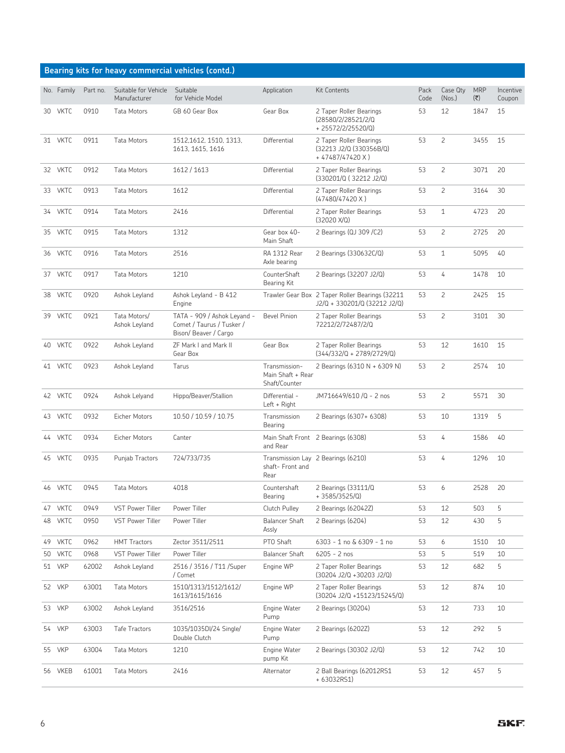#### **Bearing kits for heavy commercial vehicles (contd.)**

|    | No. Family  | Part no. | Suitable for Vehicle<br>Manufacturer | Suitable<br>for Vehicle Model                                                    | Application                                         | <b>Kit Contents</b>                                                             | Pack<br>Code | Case Qty<br>(Nos.) | <b>MRP</b><br>(そ) | Incentive<br>Coupon |
|----|-------------|----------|--------------------------------------|----------------------------------------------------------------------------------|-----------------------------------------------------|---------------------------------------------------------------------------------|--------------|--------------------|-------------------|---------------------|
|    | 30 VKTC     | 0910     | <b>Tata Motors</b>                   | GB 60 Gear Box                                                                   | Gear Box                                            | 2 Taper Roller Bearings<br>(28580/2/28521/2/Q<br>+25572/2/25520/Q)              | 53           | 12                 | 1847              | 15                  |
|    | 31 VKTC     | 0911     | Tata Motors                          | 1512,1612, 1510, 1313,<br>1613, 1615, 1616                                       | Differential                                        | 2 Taper Roller Bearings<br>(32213 J2/Q (330356B/Q)<br>+ 47487/47420 X)          | 53           | $\overline{c}$     | 3455              | 15                  |
|    | 32 VKTC     | 0912     | Tata Motors                          | 1612 / 1613                                                                      | Differential                                        | 2 Taper Roller Bearings<br>(330201/Q (32212 J2/Q)                               | 53           | 2                  | 3071              | 20                  |
|    | 33 VKTC     | 0913     | Tata Motors                          | 1612                                                                             | Differential                                        | 2 Taper Roller Bearings<br>(47480/47420 X)                                      | 53           | $\overline{c}$     | 3164              | 30                  |
|    | 34 VKTC     | 0914     | Tata Motors                          | 2416                                                                             | Differential                                        | 2 Taper Roller Bearings<br>$(32020 \text{ X}/\text{Q})$                         | 53           | 1                  | 4723              | 20                  |
|    | 35 VKTC     | 0915     | Tata Motors                          | 1312                                                                             | Gear box 40-<br>Main Shaft                          | 2 Bearings (QJ 309 /C2)                                                         | 53           | $\overline{c}$     | 2725              | 20                  |
|    | 36 VKTC     | 0916     | Tata Motors                          | 2516                                                                             | <b>RA 1312 Rear</b><br>Axle bearing                 | 2 Bearings (330632C/Q)                                                          | 53           | 1                  | 5095              | 40                  |
|    | 37 VKTC     | 0917     | Tata Motors                          | 1210                                                                             | CounterShaft<br>Bearing Kit                         | 2 Bearings (32207 J2/Q)                                                         | 53           | 4                  | 1478              | 10                  |
|    | 38 VKTC     | 0920     | Ashok Leyland                        | Ashok Leyland - B 412<br>Engine                                                  |                                                     | Trawler Gear Box 2 Taper Roller Bearings (32211<br>J2/Q + 330201/Q (32212 J2/Q) | 53           | 2                  | 2425              | 15                  |
|    | 39 VKTC     | 0921     | Tata Motors/<br>Ashok Leyland        | TATA - 909 / Ashok Leyand -<br>Comet / Taurus / Tusker /<br>Bison/Beaver / Cargo | <b>Bevel Pinion</b>                                 | 2 Taper Roller Bearings<br>72212/2/72487/2/Q                                    | 53           | $\overline{c}$     | 3101              | 30                  |
|    | 40 VKTC     | 0922     | Ashok Leyland                        | ZF Mark I and Mark II<br>Gear Box                                                | Gear Box                                            | 2 Taper Roller Bearings<br>$(344/332/Q + 2789/2729/Q)$                          | 53           | 12                 | 1610              | 15                  |
|    | 41 VKTC     | 0923     | Ashok Leyland                        | Tarus                                                                            | Transmission-<br>Main Shaft + Rear<br>Shaft/Counter | 2 Bearings (6310 N + 6309 N)                                                    | 53           | $\overline{c}$     | 2574              | 10                  |
|    | 42 VKTC     | 0924     | Ashok Lelyand                        | Hippo/Beaver/Stallion                                                            | Differential -<br>$Left + Right$                    | JM716649/610 /Q - 2 nos                                                         | 53           | 2                  | 5571              | 30                  |
|    | 43 VKTC     | 0932     | Eicher Motors                        | 10.50 / 10.59 / 10.75                                                            | Transmission<br>Bearing                             | 2 Bearings (6307+ 6308)                                                         | 53           | 10                 | 1319              | 5                   |
|    | 44 VKTC     | 0934     | Eicher Motors                        | Canter                                                                           | and Rear                                            | Main Shaft Front 2 Bearings (6308)                                              | 53           | 4                  | 1586              | 40                  |
|    | 45 VKTC     | 0935     | Punjab Tractors                      | 724/733/735                                                                      | shaft- Front and<br>Rear                            | Transmission Lay 2 Bearings (6210)                                              | 53           | 4                  | 1296              | 10                  |
|    | 46 VKTC     | 0945     | Tata Motors                          | 4018                                                                             | Countershaft<br>Bearing                             | 2 Bearings (33111/Q<br>$+3585/3525/Q$                                           | 53           | 6                  | 2528              | 20                  |
| 47 | <b>VKTC</b> | 0949     | VST Power Tiller                     | Power Tiller                                                                     | Clutch Pulley                                       | 2 Bearings (62042Z)                                                             | 53           | 12                 | 503               | 5                   |
| 48 | <b>VKTC</b> | 0950     | <b>VST Power Tiller</b>              | Power Tiller                                                                     | <b>Balancer Shaft</b><br>Assly                      | 2 Bearings (6204)                                                               | 53           | 12                 | 430               | 5                   |
| 49 | <b>VKTC</b> | 0962     | <b>HMT Tractors</b>                  | Zector 3511/2511                                                                 | PTO Shaft                                           | 6303 - 1 no & 6309 - 1 no                                                       | 53           | 6                  | 1510              | 10                  |
| 50 | <b>VKTC</b> | 0968     | VST Power Tiller                     | Power Tiller                                                                     | <b>Balancer Shaft</b>                               | $6205 - 2$ nos                                                                  | 53           | 5                  | 519               | 10                  |
|    | 51 VKP      | 62002    | Ashok Leyland                        | 2516 / 3516 / T11 / Super<br>/ Comet                                             | Engine WP                                           | 2 Taper Roller Bearings<br>$(30204$ J2/Q +30203 J2/Q)                           | 53           | 12                 | 682               | 5                   |
|    | 52 VKP      | 63001    | Tata Motors                          | 1510/1313/1512/1612/<br>1613/1615/1616                                           | Engine WP                                           | 2 Taper Roller Bearings<br>(30204 J2/Q +15123/15245/Q)                          | 53           | 12                 | 874               | 10                  |
|    | 53 VKP      | 63002    | Ashok Leyland                        | 3516/2516                                                                        | Engine Water<br>Pump                                | 2 Bearings (30204)                                                              | 53           | 12                 | 733               | 10                  |
|    | 54 VKP      | 63003    | Tafe Tractors                        | 1035/1035DI/24 Single/<br>Double Clutch                                          | Engine Water<br>Pump                                | 2 Bearings (6202Z)                                                              | 53           | 12                 | 292               | 5                   |
|    | 55 VKP      | 63004    | Tata Motors                          | 1210                                                                             | Engine Water<br>pump Kit                            | 2 Bearings (30302 J2/Q)                                                         | 53           | 12                 | 742               | 10                  |
|    | 56 VKEB     | 61001    | Tata Motors                          | 2416                                                                             | Alternator                                          | 2 Ball Bearings (62012RS1<br>+ 63032RS1)                                        | 53           | 12                 | 457               | 5                   |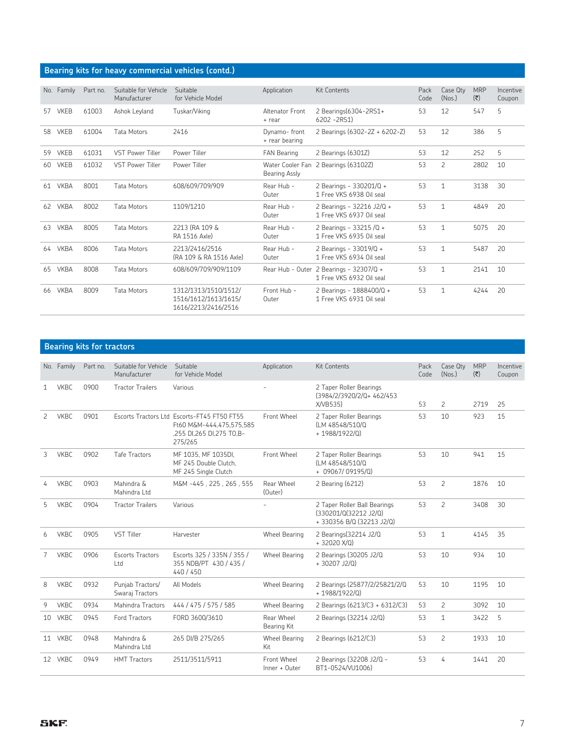| Bearing kits for heavy commercial vehicles (contd.) |  |  |  |
|-----------------------------------------------------|--|--|--|
|-----------------------------------------------------|--|--|--|

| No. | Family      | Part no. | Suitable for Vehicle<br>Manufacturer | Suitable<br>for Vehicle Model                                       | Application                       | <b>Kit Contents</b>                                   | Pack<br>Code | Case Qty<br>(Nos.) | <b>MRP</b><br>(そ) | Incentive<br>Coupon |
|-----|-------------|----------|--------------------------------------|---------------------------------------------------------------------|-----------------------------------|-------------------------------------------------------|--------------|--------------------|-------------------|---------------------|
| 57  | <b>VKEB</b> | 61003    | Ashok Leyland                        | Tuskar/Viking                                                       | Altenator Front<br>+ rear         | 2 Bearings(6304-2RS1+<br>$6202 - 2R51$                | 53           | 12                 | 547               | 5                   |
| 58  | <b>VKEB</b> | 61004    | <b>Tata Motors</b>                   | 2416                                                                | Dynamo-front<br>+ rear bearing    | 2 Bearings (6302-2Z + 6202-Z)                         | 53           | 12                 | 386               | 5                   |
| 59  | <b>VKEB</b> | 61031    | <b>VST Power Tiller</b>              | Power Tiller                                                        | <b>FAN Bearing</b>                | 2 Bearings (6301Z)                                    | 53           | 12                 | 252               | 5                   |
| 60  | <b>VKEB</b> | 61032    | <b>VST Power Tiller</b>              | Power Tiller                                                        | Water Cooler Fan<br>Bearing Assly | 2 Bearings (63102Z)                                   | 53           | $\overline{c}$     | 2802              | 10                  |
| 61  | <b>VKBA</b> | 8001     | <b>Tata Motors</b>                   | 608/609/709/909                                                     | Rear Hub -<br>Outer               | 2 Bearings - 330201/Q +<br>1 Free VKS 6938 Oil seal   | 53           | 1                  | 3138              | 30                  |
| 62  | <b>VKBA</b> | 8002     | <b>Tata Motors</b>                   | 1109/1210                                                           | Rear Hub -<br>Outer               | 2 Bearings - 32216 J2/Q +<br>1 Free VKS 6937 Oil seal | 53           | $\mathbf{1}$       | 4849              | 20                  |
| 63  | <b>VKBA</b> | 8005     | <b>Tata Motors</b>                   | 2213 (RA 109 &<br>RA 1516 Axle)                                     | Rear Hub -<br>Outer               | 2 Bearings - 33215 /Q +<br>1 Free VKS 6935 Oil seal   | 53           | 1                  | 5075              | 20                  |
| 64  | <b>VKBA</b> | 8006     | <b>Tata Motors</b>                   | 2213/2416/2516<br>(RA 109 & RA 1516 Axle)                           | Rear Hub -<br>Outer               | 2 Bearings - 33019/0 +<br>1 Free VKS 6934 Oil seal    | 53           | $\mathbf{1}$       | 5487              | 20                  |
| 65  | <b>VKBA</b> | 8008     | <b>Tata Motors</b>                   | 608/609/709/909/1109                                                | Rear Hub - Outer                  | 2 Bearings - 32307/Q +<br>1 Free VKS 6932 Oil seal    | 53           | $\mathbf{1}$       | 2141              | 10                  |
| 66  | <b>VKBA</b> | 8009     | Tata Motors                          | 1312/1313/1510/1512/<br>1516/1612/1613/1615/<br>1616/2213/2416/2516 | Front Hub -<br>Outer              | 2 Bearings - 1888400/Q +<br>1 Free VKS 6931 Oil seal  | 53           | 1                  | 4244              | 20                  |

|    |             | <b>Bearing kits for tractors</b> |                                      |                                                                                                                |                              |                                                                                   |              |                    |                                   |                     |
|----|-------------|----------------------------------|--------------------------------------|----------------------------------------------------------------------------------------------------------------|------------------------------|-----------------------------------------------------------------------------------|--------------|--------------------|-----------------------------------|---------------------|
|    | No. Family  | Part no.                         | Suitable for Vehicle<br>Manufacturer | Suitable<br>for Vehicle Model                                                                                  | Application                  | <b>Kit Contents</b>                                                               | Pack<br>Code | Case Qtv<br>(Nos.) | <b>MRP</b><br>$(\overline{\tau})$ | Incentive<br>Coupon |
| 1  | <b>VKBC</b> | 0900                             | <b>Tractor Trailers</b>              | Various                                                                                                        |                              | 2 Taper Roller Bearings<br>(3984/2/3920/2/Q+462/453<br>X/VB535)                   | 53           | $\overline{2}$     | 2719                              | 25                  |
| 2  | <b>VKBC</b> | 0901                             |                                      | Escorts Tractors Ltd Escorts-FT45 FT50 FT55<br>Ft60 M&M-444.475.575.585<br>.255 DI,265 DI,275 TO,B-<br>275/265 | Front Wheel                  | 2 Taper Roller Bearings<br>(LM 48548/510/Q<br>+1988/1922/Q)                       | 53           | 10                 | 923                               | 15                  |
| 3  | <b>VKBC</b> | 0902                             | <b>Tafe Tractors</b>                 | MF 1035. MF 1035DI.<br>MF 245 Double Clutch.<br>MF 245 Single Clutch                                           | Front Wheel                  | 2 Taper Roller Bearings<br>(LM 48548/510/Q<br>+ 09067/09195/Q)                    | 53           | 10                 | 941                               | 15                  |
| 4  | <b>VKBC</b> | 0903                             | Mahindra &<br>Mahindra Ltd           | M&M-445.225.265.555                                                                                            | Rear Wheel<br>(Outer)        | 2 Bearing (6212)                                                                  | 53           | $\overline{c}$     | 1876                              | 10                  |
| 5  | <b>VKBC</b> | 0904                             | <b>Tractor Trailers</b>              | Various                                                                                                        |                              | 2 Taper Roller Ball Bearings<br>(330201/0(32212 J2/0)<br>+330356 B/Q (32213 J2/Q) | 53           | $\overline{c}$     | 3408                              | 30                  |
| 6  | <b>VKBC</b> | 0905                             | <b>VST Tiller</b>                    | Harvester                                                                                                      | <b>Wheel Bearing</b>         | 2 Bearings (32214 J2/Q<br>$+32020$ X/Q)                                           | 53           | 1                  | 4145                              | 35                  |
| 7  | <b>VKBC</b> | 0906                             | <b>Escorts Tractors</b><br>Ltd       | Escorts 325 / 335N / 355 /<br>355 NDB/PT 430 / 435 /<br>440 / 450                                              | <b>Wheel Bearing</b>         | 2 Bearings (30205 J2/Q<br>$+30207$ J2/Q)                                          | 53           | 10                 | 934                               | 10                  |
| 8  | <b>VKBC</b> | 0932                             | Punjab Tractors/<br>Swaraj Tractors  | All Models                                                                                                     | <b>Wheel Bearing</b>         | 2 Bearings (25877/2/25821/2/Q<br>$+1988/1922/0$                                   | 53           | 10                 | 1195                              | 10                  |
| 9  | <b>VKBC</b> | 0934                             | Mahindra Tractors                    | 444 / 475 / 575 / 585                                                                                          | <b>Wheel Bearing</b>         | 2 Bearings (6213/C3 + 6312/C3)                                                    | 53           | $\overline{c}$     | 3092                              | 10                  |
| 10 | <b>VKBC</b> | 0945                             | Ford Tractors                        | FORD 3600/3610                                                                                                 | Rear Wheel<br>Bearing Kit    | 2 Bearings (32214 J2/Q)                                                           | 53           | 1                  | 3422                              | -5                  |
|    | 11 VKBC     | 0948                             | Mahindra &<br>Mahindra Ltd           | 265 DI/B 275/265                                                                                               | <b>Wheel Bearing</b><br>Kit  | 2 Bearings (6212/C3)                                                              | 53           | $\overline{c}$     | 1933                              | 10                  |
|    | 12 VKBC     | 0949                             | <b>HMT</b> Tractors                  | 2511/3511/5911                                                                                                 | Front Wheel<br>Inner + Outer | 2 Bearings (32208 J2/Q -<br>BT1-0524/VU1006)                                      | 53           | 4                  | 1441                              | 20                  |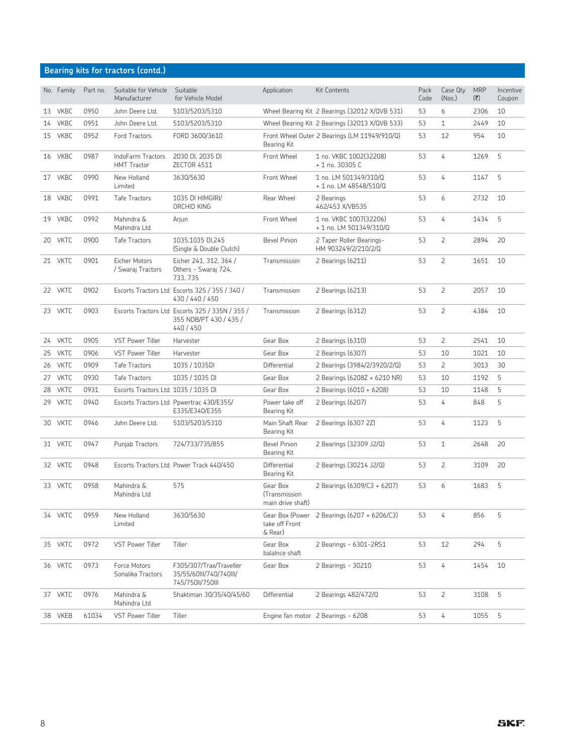#### **Bearing kits for tractors (contd.)**

|    | No. Family  | Part no. | Suitable for Vehicle<br>Manufacturer    | Suitable<br>for Vehicle Model                                                          | Application                                    | <b>Kit Contents</b>                               | Pack<br>Code | Case Qty<br>(Nos.) | <b>MRP</b><br>(₹) | Incentive<br>Coupon |
|----|-------------|----------|-----------------------------------------|----------------------------------------------------------------------------------------|------------------------------------------------|---------------------------------------------------|--------------|--------------------|-------------------|---------------------|
|    | 13 VKBC     | 0950     | John Deere Ltd.                         | 5103/5203/5310                                                                         |                                                | Wheel Bearing Kit 2 Bearings (32012 X/QVB 531)    | 53           | 6                  | 2306              | 10                  |
| 14 | <b>VKBC</b> | 0951     | John Deere Ltd.                         | 5103/5203/5310                                                                         |                                                | Wheel Bearing Kit 2 Bearings (32013 X/QVB 533)    | 53           | $\mathbf{1}$       | 2449              | 10                  |
| 15 | <b>VKBC</b> | 0952     | <b>Ford Tractors</b>                    | FORD 3600/3610                                                                         | Bearing Kit                                    | Front Wheel Outer 2 Bearings (LM 11949/910/Q)     | 53           | 12                 | 954               | 10                  |
|    | 16 VKBC     | 0987     | IndoFarm Tractors<br><b>HMT</b> Tractor | 2030 DI, 2035 DI<br><b>ZECTOR 4511</b>                                                 | Front Wheel                                    | 1 no. VKBC 1002(32208)<br>+ 1 no. 30305 C         | 53           | 4                  | 1269              | 5                   |
|    | 17 VKBC     | 0990     | New Holland<br>Limited                  | 3630/5630                                                                              | Front Wheel                                    | 1 no. LM 501349/310/Q<br>+ 1 no. LM 48548/510/Q   | 53           | 4                  | 1147              | 5                   |
|    | 18 VKBC     | 0991     | Tafe Tractors                           | 1035 DI HIMGIRI/<br>ORCHID KING                                                        | Rear Wheel                                     | 2 Bearings<br>462/453 X/VB535                     | 53           | 6                  | 2732              | 10                  |
|    | 19 VKBC     | 0992     | Mahindra &<br>Mahindra Ltd              | Arjun                                                                                  | Front Wheel                                    | 1 no. VKBC 1007(32206)<br>+ 1 no. LM 501349/310/Q | 53           | 4                  | 1434              | 5                   |
|    | 20 VKTC     | 0900     | Tafe Tractors                           | 1035,1035 DI,245<br>(Single & Double Clutch)                                           | <b>Bevel Pinion</b>                            | 2 Taper Roller Bearings-<br>HM 903249/2/210/2/Q   | 53           | $\overline{c}$     | 2894              | 20                  |
|    | 21 VKTC     | 0901     | Eicher Motors<br>/ Swaraj Tractors      | Eicher 241, 312, 364 /<br>Others - Swaraj 724,<br>733.735                              | Transmission                                   | 2 Bearings (6211)                                 | 53           | $\overline{c}$     | 1651              | 10                  |
|    | 22 VKTC     | 0902     |                                         | Escorts Tractors Ltd Escorts 325 / 355 / 340 /<br>430 / 440 / 450                      | Transmission                                   | 2 Bearings (6213)                                 | 53           | $\mathsf{S}$       | 2057              | 10                  |
|    | 23 VKTC     | 0903     |                                         | Escorts Tractors Ltd Escorts 325 / 335N / 355 /<br>355 NDB/PT 430 / 435 /<br>440 / 450 | Transmission                                   | 2 Bearings (6312)                                 | 53           | $\overline{c}$     | 4384              | 10                  |
| 24 | <b>VKTC</b> | 0905     | <b>VST Power Tiller</b>                 | Harvester                                                                              | Gear Box                                       | 2 Bearings (6310)                                 | 53           | $\overline{2}$     | 2541              | 10                  |
| 25 | <b>VKTC</b> | 0906     | <b>VST Power Tiller</b>                 | Harvester                                                                              | Gear Box                                       | 2 Bearings (6307)                                 | 53           | 10                 | 1021              | 10                  |
|    | 26 VKTC     | 0909     | Tafe Tractors                           | 1035 / 1035DI                                                                          | Differential                                   | 2 Bearings (3984/2/3920/2/Q)                      | 53           | $\overline{c}$     | 3013              | 30                  |
|    | 27 VKTC     | 0930     | <b>Tafe Tractors</b>                    | 1035 / 1035 DI                                                                         | Gear Box                                       | 2 Bearings (6208Z + 6210 NR)                      | 53           | 10                 | 1192              | 5                   |
| 28 | <b>VKTC</b> | 0931     | Escorts Tractors Ltd 1035 / 1035 DI     |                                                                                        | Gear Box                                       | 2 Bearings (6010 + 6208)                          | 53           | 10                 | 1148              | 5                   |
|    | 29 VKTC     | 0940     |                                         | Escorts Tractors Ltd Ppwertrac 430/E355/<br>E335/E340/E355                             | Power take off<br>Bearing Kit                  | 2 Bearings (6207)                                 | 53           | 4                  | 848               | 5                   |
|    | 30 VKTC     | 0946     | John Deere Ltd.                         | 5103/5203/5310                                                                         | Main Shaft Rear<br>Bearing Kit                 | 2 Bearings (6307 2Z)                              | 53           | 4                  | 1123              | 5                   |
|    | 31 VKTC     | 0947     | Punjab Tractors                         | 724/733/735/855                                                                        | <b>Bevel Pinion</b><br>Bearing Kit             | 2 Bearings (32309 J2/Q)                           | 53           | $\mathbf{1}$       | 2648              | 20                  |
|    | 32 VKTC     | 0948     |                                         | Escorts Tractors Ltd Power Track 440/450                                               | Differential<br>Bearing Kit                    | 2 Bearings (30214 J2/Q)                           | 53           | $\overline{c}$     | 3109              | 20                  |
|    | 33 VKTC     | 0958     | Mahindra &<br>Mahindra Ltd              | 575                                                                                    | Gear Box<br>(Transmission<br>main drive shaft) | 2 Bearings (6309/C3 + 6207)                       | 53           | 6                  | 1683              | 5                   |
|    | 34 VKTC     | 0959     | New Holland<br>Limited                  | 3630/5630                                                                              | take off Front<br>& Rear)                      | Gear Box (Power 2 Bearings (6207 + 6206/C3)       | 53           | 4                  | 856               | 5                   |
|    | 35 VKTC     | 0972     | VST Power Tiller                        | Tiller                                                                                 | Gear Box<br>balalnce shaft                     | 2 Bearings - 6301-2RS1                            | 53           | 12                 | 294               | 5                   |
|    | 36 VKTC     | 0973     | Force Motors<br>Sonalika Tractors       | F305/307/Trax/Traveller<br>35/55/60III/740/740III/<br>745/750II/750III                 | Gear Box                                       | 2 Bearings - 30210                                | 53           | 4                  | 1454              | 10                  |
|    | 37 VKTC     | 0976     | Mahindra &<br>Mahindra Ltd              | Shaktiman 30/35/40/45/60                                                               | Differential                                   | 2 Bearings 482/472/Q                              | 53           | $\overline{c}$     | 3108              | 5                   |
|    | 38 VKEB     | 61034    | VST Power Tiller                        | Tiller                                                                                 |                                                | Engine fan motor 2 Bearings - 6208                | 53           | 4                  | 1055              | 5                   |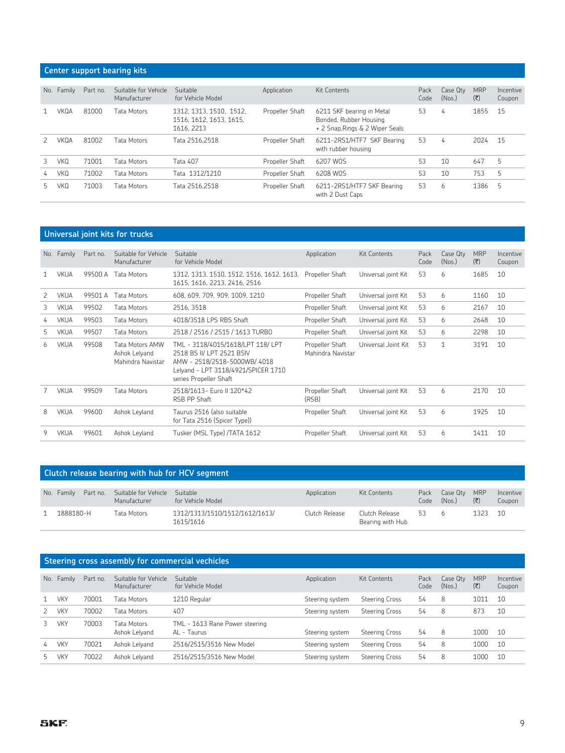#### **Center support bearing kits**

| No.   | Family | Part no. | Suitable for Vehicle<br>Manufacturer | Suitable<br>for Vehicle Model                                    | Application     | Kit Contents                                                                           | Pack<br>Code | Case Qtv<br>(Nos.) | <b>MRP</b><br>$(\overline{\mathbf{x}})$ | Incentive<br>Coupon |
|-------|--------|----------|--------------------------------------|------------------------------------------------------------------|-----------------|----------------------------------------------------------------------------------------|--------------|--------------------|-----------------------------------------|---------------------|
|       | VKQA   | 81000    | Tata Motors                          | 1312, 1313, 1510, 1512.<br>1516, 1612, 1613, 1615,<br>1616, 2213 | Propeller Shaft | 6211 SKF bearing in Metal<br>Bonded, Rubber Housing<br>+ 2 Snap, Rings & 2 Wiper Seals | 53           | 4                  | 1855                                    | 15                  |
|       | VKOA   | 81002    | Tata Motors                          | Tata 2516.2518                                                   | Propeller Shaft | 6211-2RS1/HTF7 SKF Bearing<br>with rubber housing                                      | 53           | 4                  | 2024                                    | 15                  |
| 3     | VKO    | 71001    | Tata Motors                          | <b>Tata 407</b>                                                  | Propeller Shaft | 6207 WOS                                                                               | 53           | 10                 | 647                                     | 5                   |
| 4     | VKO    | 71002    | Tata Motors                          | Tata 1312/1210                                                   | Propeller Shaft | 6208 W0S                                                                               | 53           | 10                 | 753                                     | 5                   |
| $b -$ | VKO    | 71003    | Tata Motors                          | Tata 2516.2518                                                   | Propeller Shaft | 6211-2RS1/HTF7 SKF Bearing<br>with 2 Dust Caps                                         | 53           | 6                  | 1386                                    | 5                   |

#### **Universal joint kits for trucks**

| No. | Family      | Part no. | Suitable for Vehicle<br>Manufacturer                  | Suitable<br>for Vehicle Model                                                                                                                                  | Application                          | <b>Kit Contents</b> | Pack<br>Code | Case Qty<br>(Nos.) | <b>MRP</b><br>(そ) | Incentive<br>Coupon |
|-----|-------------|----------|-------------------------------------------------------|----------------------------------------------------------------------------------------------------------------------------------------------------------------|--------------------------------------|---------------------|--------------|--------------------|-------------------|---------------------|
| 1   | <b>VKUA</b> | 99500 A  | Tata Motors                                           | 1312, 1313, 1510, 1512, 1516, 1612, 1613,<br>1615, 1616, 2213, 2416, 2516                                                                                      | Propeller Shaft                      | Universal joint Kit | 53           | 6                  | 1685              | 10                  |
| 2   | <b>VKUA</b> | 99501 A  | Tata Motors                                           | 608, 609, 709, 909, 1009, 1210                                                                                                                                 | Propeller Shaft                      | Universal joint Kit | 53           | 6                  | 1160              | 10                  |
| 3   | <b>VKUA</b> | 99502    | Tata Motors                                           | 2516, 3518                                                                                                                                                     | Propeller Shaft                      | Universal joint Kit | 53           | 6                  | 2167              | 10                  |
| 4   | <b>VKUA</b> | 99503    | Tata Motors                                           | 4018/3518 LPS RBS Shaft                                                                                                                                        | Propeller Shaft                      | Universal joint Kit | 53           | 6                  | 2648              | 10                  |
| 5.  | <b>VKUA</b> | 99507    | Tata Motors                                           | 2518 / 2516 / 2515 / 1613 TURBO                                                                                                                                | Propeller Shaft                      | Universal joint Kit | 53           | 6                  | 2298              | 10                  |
| 6.  | <b>VKUA</b> | 99508    | Tata Motors AMW<br>Ashok Lelyand<br>Mahindra Navistar | TML - 3118/4015/1618/LPT 118/ LPT<br>2518 BS II/ LPT 2521 BSIV<br>AMW - 2518/2518-5000WB/4018<br>Lelyand - LPT 3118/4921/SPICER 1710<br>series Propeller Shaft | Propeller Shaft<br>Mahindra Navistar | Universal Joint Kit | 53           | 1                  | 3191              | 10                  |
|     | <b>VKUA</b> | 99509    | Tata Motors                                           | 2518/1613- Euro II 120*42<br>RSB PP Shaft                                                                                                                      | Propeller Shaft<br>(RSB)             | Universal joint Kit | 53           | 6                  | 2170              | 10                  |
| 8   | <b>VKUA</b> | 99600    | Ashok Leyland                                         | Taurus 2516 (also suitable<br>for Tata 2516 (Spicer Type))                                                                                                     | Propeller Shaft                      | Universal joint Kit | 53           | 6                  | 1925              | 10                  |
| 9   | <b>VKUA</b> | 99601    | Ashok Leyland                                         | Tusker (MSL Type) /TATA 1612                                                                                                                                   | Propeller Shaft                      | Universal joint Kit | 53           | 6                  | 1411              | 10                  |

#### **Clutch release bearing with hub for HCV segment**

| No. Family | Part no. | Suitable for Vehicle<br>Manufacturer | Suitable<br>for Vehicle Model               | Application    | Kit Contents                       | Pack<br>Code | Case Qtv<br>(Nos.) | <b>MRP</b><br>(₹) | Incentive<br>Coupon |
|------------|----------|--------------------------------------|---------------------------------------------|----------------|------------------------------------|--------------|--------------------|-------------------|---------------------|
| 1888180-H  |          | Tata Motors                          | 1312/1313/1510/1512/1612/1613/<br>1615/1616 | Clutch Release | Clutch Release<br>Bearing with Hub | 53 6         |                    | 1323 10           |                     |

#### **Steering cross assembly for commercial vechicles**

| No. | Family     | Part no. | Suitable for Vehicle<br>Manufacturer | Suitable<br>for Vehicle Model                 | Application     | Kit Contents          | Pack<br>Code | Case Qtv<br>(Nos.) | <b>MRP</b><br>(₹) | Incentive<br>Coupon |
|-----|------------|----------|--------------------------------------|-----------------------------------------------|-----------------|-----------------------|--------------|--------------------|-------------------|---------------------|
|     | <b>VKY</b> | 70001    | Tata Motors                          | 1210 Regular                                  | Steering system | <b>Steering Cross</b> | 54           | 8                  | 1011              | 10                  |
|     | <b>VKY</b> | 70002    | <b>Tata Motors</b>                   | 407                                           | Steering system | <b>Steering Cross</b> | 54           | 8                  | 873               | 10                  |
|     | <b>VKY</b> | 70003    | Tata Motors<br>Ashok Lelyand         | TML - 1613 Rane Power steering<br>AL - Taurus | Steering system | Steering Cross        | 54           | 8                  | 1000              | 10                  |
| 4   | <b>VKY</b> | 70021    | Ashok Lelyand                        | 2516/2515/3516 New Model                      | Steering system | <b>Steering Cross</b> | 54           | 8                  | 1000              | 10                  |
|     | <b>VKY</b> | 70022    | Ashok Lelyand                        | 2516/2515/3516 New Model                      | Steering system | Steering Cross        | 54           | 8                  | 1000              | 10                  |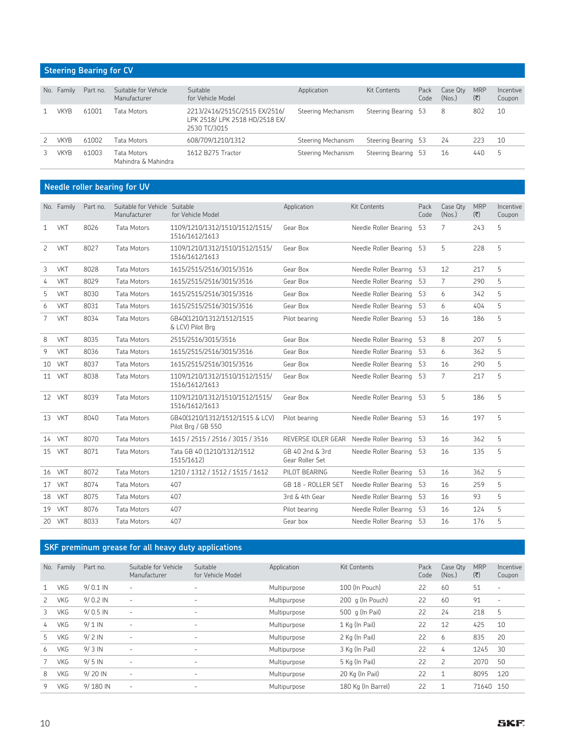#### **Steering Bearing for CV**

| No. | Family | Part no. | Suitable for Vehicle<br>Manufacturer | Suitable<br>for Vehicle Model                                                   | Application        | <b>Kit Contents</b> | Pack<br>Code | Case Qty<br>(Nos.) | <b>MRP</b><br>$(\overline{\mathbf{x}})$ | Incentive<br>Coupon |
|-----|--------|----------|--------------------------------------|---------------------------------------------------------------------------------|--------------------|---------------------|--------------|--------------------|-----------------------------------------|---------------------|
|     | VKYB   | 61001    | Tata Motors                          | 2213/2416/2515C/2515 EX/2516/<br>LPK 2518/ LPK 2518 HD/2518 EX/<br>2530 TC/3015 | Steering Mechanism | Steering Bearing 53 |              | 8                  | 802                                     | 10                  |
|     | VKYB   | 61002    | Tata Motors                          | 608/709/1210/1312                                                               | Steering Mechanism | Steering Bearing 53 |              | 24                 | 223                                     | 10                  |
|     | VKYB   | 61003    | Tata Motors<br>Mahindra & Mahindra   | 1612 B275 Tractor                                                               | Steering Mechanism | Steering Bearing 53 |              | 16                 | 440                                     | $\mathbf{b}$        |

#### **Needle roller bearing for UV**

|                | No. Family | Part no. | Suitable for Vehicle Suitable<br>Manufacturer | for Vehicle Model                                     | Application                        | <b>Kit Contents</b>      | Pack<br>Code | Case Qty<br>(Nos.) | <b>MRP</b><br>$(\overline{\tau})$ | Incentive<br>Coupon |
|----------------|------------|----------|-----------------------------------------------|-------------------------------------------------------|------------------------------------|--------------------------|--------------|--------------------|-----------------------------------|---------------------|
| 1              | <b>VKT</b> | 8026     | <b>Tata Motors</b>                            | 1109/1210/1312/1510/1512/1515/<br>1516/1612/1613      | Gear Box                           | Needle Roller Bearing    | 53           | 7                  | 243                               | 5                   |
| 2              | <b>VKT</b> | 8027     | <b>Tata Motors</b>                            | 1109/1210/1312/1510/1512/1515/<br>1516/1612/1613      | Gear Box                           | Needle Roller Bearing 53 |              | 5                  | 228                               | 5                   |
| 3              | <b>VKT</b> | 8028     | <b>Tata Motors</b>                            | 1615/2515/2516/3015/3516                              | Gear Box                           | Needle Roller Bearing    | -53          | 12                 | 217                               | 5                   |
| 4              | <b>VKT</b> | 8029     | <b>Tata Motors</b>                            | 1615/2515/2516/3015/3516                              | Gear Box                           | Needle Roller Bearing    | 53           | 7                  | 290                               | 5                   |
| 5              | <b>VKT</b> | 8030     | <b>Tata Motors</b>                            | 1615/2515/2516/3015/3516                              | Gear Box                           | Needle Roller Bearing    | -53          | 6                  | 342                               | 5                   |
| 6              | <b>VKT</b> | 8031     | <b>Tata Motors</b>                            | 1615/2515/2516/3015/3516                              | Gear Box                           | Needle Roller Bearing    | -53          | 6                  | 404                               | 5                   |
| $\overline{7}$ | <b>VKT</b> | 8034     | <b>Tata Motors</b>                            | GB40(1210/1312/1512/1515<br>& LCV) Pilot Brg          | Pilot bearing                      | Needle Roller Bearing    | -53          | 16                 | 186                               | 5                   |
| 8              | <b>VKT</b> | 8035     | <b>Tata Motors</b>                            | 2515/2516/3015/3516                                   | Gear Box                           | Needle Roller Bearing    | -53          | 8                  | 207                               | 5                   |
| 9              | <b>VKT</b> | 8036     | <b>Tata Motors</b>                            | 1615/2515/2516/3015/3516                              | Gear Box                           | Needle Roller Bearing    | 53           | 6                  | 362                               | 5                   |
|                | 10 VKT     | 8037     | Tata Motors                                   | 1615/2515/2516/3015/3516                              | Gear Box                           | Needle Roller Bearing    | -53          | 16                 | 290                               | 5                   |
|                | 11 VKT     | 8038     | Tata Motors                                   | 1109/1210/1312/1510/1512/1515/<br>1516/1612/1613      | Gear Box                           | Needle Roller Bearing    | 53           | 7                  | 217                               | 5                   |
|                | 12 VKT     | 8039     | <b>Tata Motors</b>                            | 1109/1210/1312/1510/1512/1515/<br>1516/1612/1613      | Gear Box                           | Needle Roller Bearing 53 |              | 5                  | 186                               | 5                   |
|                | 13 VKT     | 8040     | <b>Tata Motors</b>                            | GB40(1210/1312/1512/1515 & LCV)<br>Pilot Brg / GB 550 | Pilot bearing                      | Needle Roller Bearing    | -53          | 16                 | 197                               | 5                   |
|                | 14 VKT     | 8070     | Tata Motors                                   | 1615 / 2515 / 2516 / 3015 / 3516                      | REVERSE IDLER GEAR                 | Needle Roller Bearing 53 |              | 16                 | 362                               | 5                   |
|                | 15 VKT     | 8071     | <b>Tata Motors</b>                            | Tata GB 40 (1210/1312/1512<br>1515/1612)              | GB 40 2nd & 3rd<br>Gear Roller Set | Needle Roller Bearing    | 53           | 16                 | 135                               | 5                   |
|                | 16 VKT     | 8072     | <b>Tata Motors</b>                            | 1210 / 1312 / 1512 / 1515 / 1612                      | PILOT BEARING                      | Needle Roller Bearing    | 53           | 16                 | 362                               | 5                   |
|                | 17 VKT     | 8074     | <b>Tata Motors</b>                            | 407                                                   | GB 18 - ROLLER SET                 | Needle Roller Bearing    | -53          | 16                 | 259                               | 5                   |
|                | 18 VKT     | 8075     | <b>Tata Motors</b>                            | 407                                                   | 3rd & 4th Gear                     | Needle Roller Bearing    | -53          | 16                 | 93                                | 5                   |
|                | 19 VKT     | 8076     | <b>Tata Motors</b>                            | 407                                                   | Pilot bearing                      | Needle Roller Bearing    | -53          | 16                 | 124                               | 5                   |
|                | 20 VKT     | 8033     | <b>Tata Motors</b>                            | 407                                                   | Gear box                           | Needle Roller Bearing    | 53           | 16                 | 176                               | 5                   |

#### **SKF preminum grease for all heavy duty applications**

| No. | Family     | Part no.   | Suitable for Vehicle<br>Manufacturer | Suitable<br>for Vehicle Model | Application  | <b>Kit Contents</b> | Pack<br>Code | Case Qtv<br>(Nos.) | <b>MRP</b><br>$(\overline{\mathbf{x}})$ | Incentive<br>Coupon      |
|-----|------------|------------|--------------------------------------|-------------------------------|--------------|---------------------|--------------|--------------------|-----------------------------------------|--------------------------|
| 1   | <b>VKG</b> | $9/0.1$ IN | -                                    | $\overline{\phantom{a}}$      | Multipurpose | 100 (In Pouch)      | 22           | 60                 | 51                                      | $\overline{\phantom{a}}$ |
| 2   | <b>VKG</b> | $9/0.2$ IN | $\overline{\phantom{0}}$             | ٠                             | Multipurpose | 200 q (In Pouch)    | 22           | 60                 | 91                                      | $\overline{\phantom{a}}$ |
| 3   | <b>VKG</b> | $9/0.5$ IN | -                                    | ٠                             | Multipurpose | 500 g (In Pail)     | 22           | 24                 | 218                                     | 5                        |
| 4   | <b>VKG</b> | $9/1$ IN   | -                                    | -                             | Multipurpose | 1 Kg (In Pail)      | 22           | 12                 | 425                                     | 10                       |
| 5   | <b>VKG</b> | $9/2$ IN   | -                                    | ٠                             | Multipurpose | 2 Kg (In Pail)      | 22           | 6                  | 835                                     | 20                       |
| 6   | <b>VKG</b> | $9/3$ IN   | $\overline{\phantom{0}}$             | ٠                             | Multipurpose | 3 Kg (In Pail)      | 22           | 4                  | 1245                                    | 30                       |
|     | <b>VKG</b> | $9/5$ IN   | -                                    | -                             | Multipurpose | 5 Kg (In Pail)      | 22           | 2                  | 2070                                    | 50                       |
| 8   | <b>VKG</b> | 9/20 IN    | -                                    | ٠                             | Multipurpose | 20 Kg (In Pail)     | 22           | 1                  | 8095                                    | 120                      |
| 9   | <b>VKG</b> | 9/180 IN   | -                                    | $\overline{\phantom{0}}$      | Multipurpose | 180 Kg (In Barrel)  | 22           | 1                  | 71640                                   | 150                      |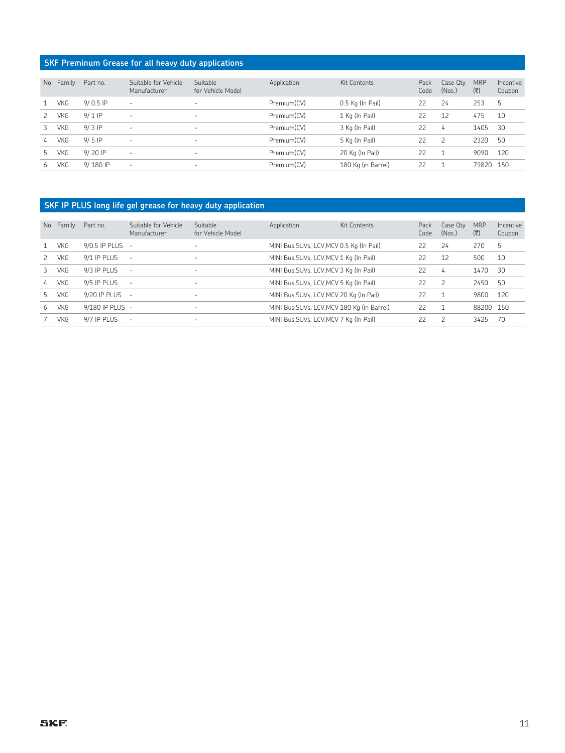#### **SKF Preminum Grease for all heavy duty applications**

| No.           | Family     | Part no.   | Suitable for Vehicle<br>Manufacturer | Suitable<br>for Vehicle Model | Application | Kit Contents       | Pack<br>Code | Case Qty<br>(Nos.) | <b>MRP</b><br>$(\overline{\mathbf{c}})$ | Incentive<br>Coupon |
|---------------|------------|------------|--------------------------------------|-------------------------------|-------------|--------------------|--------------|--------------------|-----------------------------------------|---------------------|
|               | VKG        | $9/0.5$ IP | ٠                                    |                               | Premium(CV) | 0.5 Kg (In Pail)   | 22           | 24                 | 253                                     | Ь                   |
| 2             | VKG        | $9/1$ IP   |                                      | $\overline{\phantom{0}}$      | Premium(CV) | 1 Kg (In Pail)     | 22           | 12                 | 475                                     | 10                  |
| 3             | <b>VKG</b> | $9/3$ IP   | ٠                                    | ٠                             | Premium(CV) | 3 Kg (In Pail)     | 22           | 4                  | 1405                                    | 30                  |
| $\frac{1}{2}$ | <b>VKG</b> | $9/5$ IP   | ٠                                    | $\overline{\phantom{a}}$      | Premium(CV) | 5 Kg (In Pail)     | 22           | $\overline{c}$     | 2320                                    | 50                  |
| 5.            | <b>VKG</b> | 9/20 IP    | ٠                                    | ٠                             | Premium(CV) | 20 Kg (In Pail)    | 22           | $\overline{1}$     | 9090                                    | 120                 |
| 6.            | VKG        | 9/180 IP   | -                                    |                               | Premium(CV) | 180 Kg (in Barrel) | 22           | ⊣                  | 79820                                   | 150                 |

#### **SKF IP PLUS long life gel grease for heavy duty application**

| No. | Family     | Part no.        | Suitable for Vehicle<br>Manufacturer | Suitable<br>for Vehicle Model | Application                                 | Kit Contents | Pack<br>Code | Case Qty<br>(Nos.) | <b>MRP</b><br>(₹) | Incentive<br>Coupon |
|-----|------------|-----------------|--------------------------------------|-------------------------------|---------------------------------------------|--------------|--------------|--------------------|-------------------|---------------------|
|     |            |                 |                                      |                               |                                             |              |              |                    |                   |                     |
|     | <b>VKG</b> | 9/0.5 IP PLUS   | $\overline{\phantom{a}}$             |                               | MINI Bus, SUVs, LCV, MCV 0.5 Kg (In Pail)   |              | 22           | 24                 | 270               | 5                   |
|     | <b>VKG</b> | 9/1 IP PLUS     | $\overline{\phantom{m}}$             | $\overline{\phantom{a}}$      | MINI Bus, SUVs, LCV, MCV 1 Kg (In Pail)     |              | 22           | 12                 | 500               | 10                  |
|     | <b>VKG</b> | 9/3 IP PLUS     | $\overline{\phantom{a}}$             | $\overline{\phantom{a}}$      | MINI Bus, SUVs, LCV, MCV 3 Kg (In Pail)     |              | 22           | 4                  | 1470              | 30                  |
| 4   | <b>VKG</b> | 9/5 IP PLUS     | $\overline{\phantom{a}}$             | ٠                             | MINI Bus, SUVs, LCV, MCV 5 Kg (In Pail)     |              | 22           | $\overline{c}$     | 2450              | 50                  |
|     | <b>VKG</b> | 9/20 IP PLUS    | $\overline{a}$                       | $\overline{\phantom{a}}$      | MINI Bus, SUVs, LCV, MCV 20 Kg (In Pail)    |              | 22           |                    | 9800              | 120                 |
| 6   | <b>VKG</b> | 9/180 IP PLUS - |                                      | $\overline{\phantom{a}}$      | MINI Bus, SUVs, LCV, MCV 180 Kg (in Barrel) |              | 22           | 1                  | 88200             | 150                 |
|     | <b>VKG</b> | 9/7 IP PLUS     | $\overline{\phantom{a}}$             | -                             | MINI Bus, SUVs, LCV, MCV 7 Kg (In Pail)     |              | 22           | 2                  | 3425              | 70                  |
|     |            |                 |                                      |                               |                                             |              |              |                    |                   |                     |